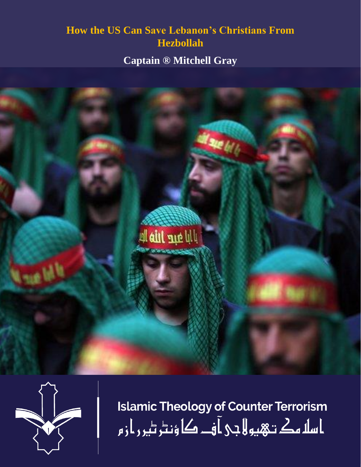# **How the US Can Save Lebanon's Christians From Hezbollah**

**Captain ® Mitchell Gray** 





**Islamic Theology of Counter Terrorism** ا سلا مك تـهيو لا جى آ فــ كا ؤنٹر ٹير ر ا ز م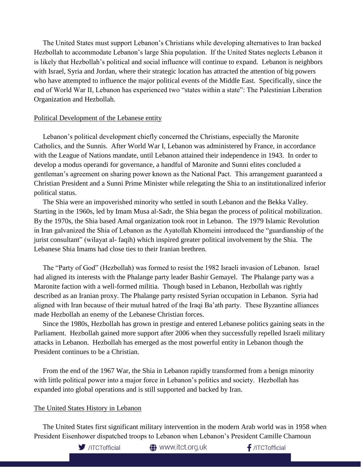The United States must support Lebanon's Christians while developing alternatives to Iran backed Hezbollah to accommodate Lebanon's large Shia population. If the United States neglects Lebanon it is likely that Hezbollah's political and social influence will continue to expand. Lebanon is neighbors with Israel, Syria and Jordan, where their strategic location has attracted the attention of big powers who have attempted to influence the major political events of the Middle East. Specifically, since the end of World War II, Lebanon has experienced two "states within a state": The Palestinian Liberation Organization and Hezbollah.

#### Political Development of the Lebanese entity

 Lebanon's political development chiefly concerned the Christians, especially the Maronite Catholics, and the Sunnis. After World War I, Lebanon was administered by France, in accordance with the League of Nations mandate, until Lebanon attained their independence in 1943. In order to develop a modus operandi for governance, a handful of Maronite and Sunni elites concluded a gentleman's agreement on sharing power known as the National Pact. This arrangement guaranteed a Christian President and a Sunni Prime Minister while relegating the Shia to an institutionalized inferior political status.

 The Shia were an impoverished minority who settled in south Lebanon and the Bekka Valley. Starting in the 1960s, led by Imam Musa al-Sadr, the Shia began the process of political mobilization. By the 1970s, the Shia based Amal organization took root in Lebanon. The 1979 Islamic Revolution in Iran galvanized the Shia of Lebanon as the Ayatollah Khomeini introduced the "guardianship of the jurist consultant" (wilayat al- faqih) which inspired greater political involvement by the Shia. The Lebanese Shia Imams had close ties to their Iranian brethren.

 The "Party of God" (Hezbollah) was formed to resist the 1982 Israeli invasion of Lebanon. Israel had aligned its interests with the Phalange party leader Bashir Gemayel. The Phalange party was a Maronite faction with a well-formed militia. Though based in Lebanon, Hezbollah was rightly described as an Iranian proxy. The Phalange party resisted Syrian occupation in Lebanon. Syria had aligned with Iran because of their mutual hatred of the Iraqi Ba'ath party. These Byzantine alliances made Hezbollah an enemy of the Lebanese Christian forces.

 Since the 1980s, Hezbollah has grown in prestige and entered Lebanese politics gaining seats in the Parliament. Hezbollah gained more support after 2006 when they successfully repelled Israeli military attacks in Lebanon. Hezbollah has emerged as the most powerful entity in Lebanon though the President continues to be a Christian.

 From the end of the 1967 War, the Shia in Lebanon rapidly transformed from a benign minority with little political power into a major force in Lebanon's politics and society. Hezbollah has expanded into global operations and is still supported and backed by Iran.

## The United States History in Lebanon

 The United States first significant military intervention in the modern Arab world was in 1958 when President Eisenhower dispatched troops to Lebanon when Lebanon's President Camille Chamoun

**<sup>4</sup>** www.itct.org.uk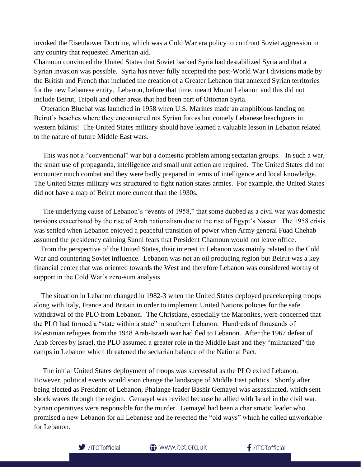invoked the Eisenhower Doctrine, which was a Cold War era policy to confront Soviet aggression in any country that requested American aid.

Chamoun convinced the United States that Soviet backed Syria had destabilized Syria and that a Syrian invasion was possible. Syria has never fully accepted the post-World War I divisions made by the British and French that included the creation of a Greater Lebanon that annexed Syrian territories for the new Lebanese entity. Lebanon, before that time, meant Mount Lebanon and this did not include Beirut, Tripoli and other areas that had been part of Ottoman Syria.

 Operation Bluebat was launched in 1958 when U.S. Marines made an amphibious landing on Beirut's beaches where they encountered not Syrian forces but comely Lebanese beachgoers in western bikinis! The United States military should have learned a valuable lesson in Lebanon related to the nature of future Middle East wars.

 This was not a "conventional" war but a domestic problem among sectarian groups. In such a war, the smart use of propaganda, intelligence and small unit action are required. The United States did not encounter much combat and they were badly prepared in terms of intelligence and local knowledge. The United States military was structured to fight nation states armies. For example, the United States did not have a map of Beirut more current than the 1930s.

 The underlying cause of Lebanon's "events of 1958," that some dubbed as a civil war was domestic tensions exacerbated by the rise of Arab nationalism due to the rise of Egypt's Nasser. The 1958 crisis was settled when Lebanon enjoyed a peaceful transition of power when Army general Fuad Chehab assumed the presidency calming Sunni fears that President Chamoun would not leave office.

 From the perspective of the United States, their interest in Lebanon was mainly related to the Cold War and countering Soviet influence. Lebanon was not an oil producing region but Beirut was a key financial center that was oriented towards the West and therefore Lebanon was considered worthy of support in the Cold War's zero-sum analysis.

 The situation in Lebanon changed in 1982-3 when the United States deployed peacekeeping troops along with Italy, France and Britain in order to implement United Nations policies for the safe withdrawal of the PLO from Lebanon. The Christians, especially the Maronites, were concerned that the PLO had formed a "state within a state" in southern Lebanon. Hundreds of thousands of Palestinian refugees from the 1948 Arab-Israeli war had fled to Lebanon. After the 1967 defeat of Arab forces by Israel, the PLO assumed a greater role in the Middle East and they "militarized" the camps in Lebanon which threatened the sectarian balance of the National Pact.

 The initial United States deployment of troops was successful as the PLO exited Lebanon. However, political events would soon change the landscape of Middle East politics. Shortly after being elected as President of Lebanon, Phalange leader Bashir Gemayel was assassinated, which sent shock waves through the region. Gemayel was reviled because he allied with Israel in the civil war. Syrian operatives were responsible for the murder. Gemayel had been a charismatic leader who promised a new Lebanon for all Lebanese and he rejected the "old ways" which he called unworkable for Lebanon.

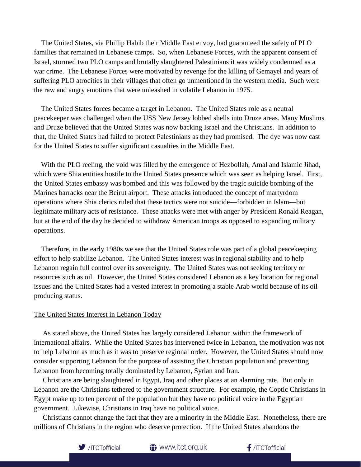The United States, via Phillip Habib their Middle East envoy, had guaranteed the safety of PLO families that remained in Lebanese camps. So, when Lebanese Forces, with the apparent consent of Israel, stormed two PLO camps and brutally slaughtered Palestinians it was widely condemned as a war crime. The Lebanese Forces were motivated by revenge for the killing of Gemayel and years of suffering PLO atrocities in their villages that often go unmentioned in the western media. Such were the raw and angry emotions that were unleashed in volatile Lebanon in 1975.

 The United States forces became a target in Lebanon. The United States role as a neutral peacekeeper was challenged when the USS New Jersey lobbed shells into Druze areas. Many Muslims and Druze believed that the United States was now backing Israel and the Christians. In addition to that, the United States had failed to protect Palestinians as they had promised. The dye was now cast for the United States to suffer significant casualties in the Middle East.

 With the PLO reeling, the void was filled by the emergence of Hezbollah, Amal and Islamic Jihad, which were Shia entities hostile to the United States presence which was seen as helping Israel. First, the United States embassy was bombed and this was followed by the tragic suicide bombing of the Marines barracks near the Beirut airport. These attacks introduced the concept of martyrdom operations where Shia clerics ruled that these tactics were not suicide—forbidden in Islam—but legitimate military acts of resistance. These attacks were met with anger by President Ronald Reagan, but at the end of the day he decided to withdraw American troops as opposed to expanding military operations.

 Therefore, in the early 1980s we see that the United States role was part of a global peacekeeping effort to help stabilize Lebanon. The United States interest was in regional stability and to help Lebanon regain full control over its sovereignty. The United States was not seeking territory or resources such as oil. However, the United States considered Lebanon as a key location for regional issues and the United States had a vested interest in promoting a stable Arab world because of its oil producing status.

## The United States Interest in Lebanon Today

 As stated above, the United States has largely considered Lebanon within the framework of international affairs. While the United States has intervened twice in Lebanon, the motivation was not to help Lebanon as much as it was to preserve regional order. However, the United States should now consider supporting Lebanon for the purpose of assisting the Christian population and preventing Lebanon from becoming totally dominated by Lebanon, Syrian and Iran.

 Christians are being slaughtered in Egypt, Iraq and other places at an alarming rate. But only in Lebanon are the Christians tethered to the government structure. For example, the Coptic Christians in Egypt make up to ten percent of the population but they have no political voice in the Egyptian government. Likewise, Christians in Iraq have no political voice.

 Christians cannot change the fact that they are a minority in the Middle East. Nonetheless, there are millions of Christians in the region who deserve protection. If the United States abandons the

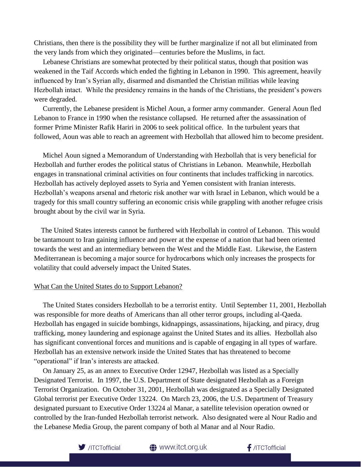Christians, then there is the possibility they will be further marginalize if not all but eliminated from the very lands from which they originated—centuries before the Muslims, in fact.

 Lebanese Christians are somewhat protected by their political status, though that position was weakened in the Taif Accords which ended the fighting in Lebanon in 1990. This agreement, heavily influenced by Iran's Syrian ally, disarmed and dismantled the Christian militias while leaving Hezbollah intact. While the presidency remains in the hands of the Christians, the president's powers were degraded.

 Currently, the Lebanese president is Michel Aoun, a former army commander. General Aoun fled Lebanon to France in 1990 when the resistance collapsed. He returned after the assassination of former Prime Minister Rafik Hariri in 2006 to seek political office. In the turbulent years that followed, Aoun was able to reach an agreement with Hezbollah that allowed him to become president.

 Michel Aoun signed a Memorandum of Understanding with Hezbollah that is very beneficial for Hezbollah and further erodes the political status of Christians in Lebanon. Meanwhile, Hezbollah engages in transnational criminal activities on four continents that includes trafficking in narcotics. Hezbollah has actively deployed assets to Syria and Yemen consistent with Iranian interests. Hezbollah's weapons arsenal and rhetoric risk another war with Israel in Lebanon, which would be a tragedy for this small country suffering an economic crisis while grappling with another refugee crisis brought about by the civil war in Syria.

 The United States interests cannot be furthered with Hezbollah in control of Lebanon. This would be tantamount to Iran gaining influence and power at the expense of a nation that had been oriented towards the west and an intermediary between the West and the Middle East. Likewise, the Eastern Mediterranean is becoming a major source for hydrocarbons which only increases the prospects for volatility that could adversely impact the United States.

#### What Can the United States do to Support Lebanon?

 The United States considers Hezbollah to be a terrorist entity. Until September 11, 2001, Hezbollah was responsible for more deaths of Americans than all other terror groups, including al-Qaeda. Hezbollah has engaged in suicide bombings, kidnappings, assassinations, hijacking, and piracy, drug trafficking, money laundering and espionage against the United States and its allies. Hezbollah also has significant conventional forces and munitions and is capable of engaging in all types of warfare. Hezbollah has an extensive network inside the United States that has threatened to become "operational" if Iran's interests are attacked.

 On January 25, as an annex to Executive Order 12947, Hezbollah was listed as a Specially Designated Terrorist. In 1997, the U.S. Department of State designated Hezbollah as a Foreign Terrorist Organization. On October 31, 2001, Hezbollah was designated as a Specially Designated Global terrorist per Executive Order 13224. On March 23, 2006, the U.S. Department of Treasury designated pursuant to Executive Order 13224 al Manar, a satellite television operation owned or controlled by the Iran-funded Hezbollah terrorist network. Also designated were al Nour Radio and the Lebanese Media Group, the parent company of both al Manar and al Nour Radio.

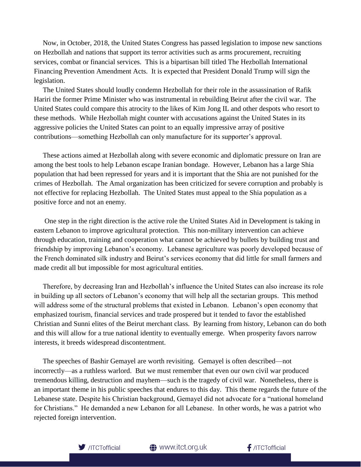Now, in October, 2018, the United States Congress has passed legislation to impose new sanctions on Hezbollah and nations that support its terror activities such as arms procurement, recruiting services, combat or financial services. This is a bipartisan bill titled The Hezbollah International Financing Prevention Amendment Acts. It is expected that President Donald Trump will sign the legislation.

 The United States should loudly condemn Hezbollah for their role in the assassination of Rafik Hariri the former Prime Minister who was instrumental in rebuilding Beirut after the civil war. The United States could compare this atrocity to the likes of Kim Jong IL and other despots who resort to these methods. While Hezbollah might counter with accusations against the United States in its aggressive policies the United States can point to an equally impressive array of positive contributions—something Hezbollah can only manufacture for its supporter's approval.

 These actions aimed at Hezbollah along with severe economic and diplomatic pressure on Iran are among the best tools to help Lebanon escape Iranian bondage. However, Lebanon has a large Shia population that had been repressed for years and it is important that the Shia are not punished for the crimes of Hezbollah. The Amal organization has been criticized for severe corruption and probably is not effective for replacing Hezbollah. The United States must appeal to the Shia population as a positive force and not an enemy.

 One step in the right direction is the active role the United States Aid in Development is taking in eastern Lebanon to improve agricultural protection. This non-military intervention can achieve through education, training and cooperation what cannot be achieved by bullets by building trust and friendship by improving Lebanon's economy. Lebanese agriculture was poorly developed because of the French dominated silk industry and Beirut's services economy that did little for small farmers and made credit all but impossible for most agricultural entities.

 Therefore, by decreasing Iran and Hezbollah's influence the United States can also increase its role in building up all sectors of Lebanon's economy that will help all the sectarian groups. This method will address some of the structural problems that existed in Lebanon. Lebanon's open economy that emphasized tourism, financial services and trade prospered but it tended to favor the established Christian and Sunni elites of the Beirut merchant class. By learning from history, Lebanon can do both and this will allow for a true national identity to eventually emerge. When prosperity favors narrow interests, it breeds widespread discontentment.

 The speeches of Bashir Gemayel are worth revisiting. Gemayel is often described—not incorrectly—as a ruthless warlord. But we must remember that even our own civil war produced tremendous killing, destruction and mayhem—such is the tragedy of civil war. Nonetheless, there is an important theme in his public speeches that endures to this day. This theme regards the future of the Lebanese state. Despite his Christian background, Gemayel did not advocate for a "national homeland for Christians." He demanded a new Lebanon for all Lebanese. In other words, he was a patriot who rejected foreign intervention.